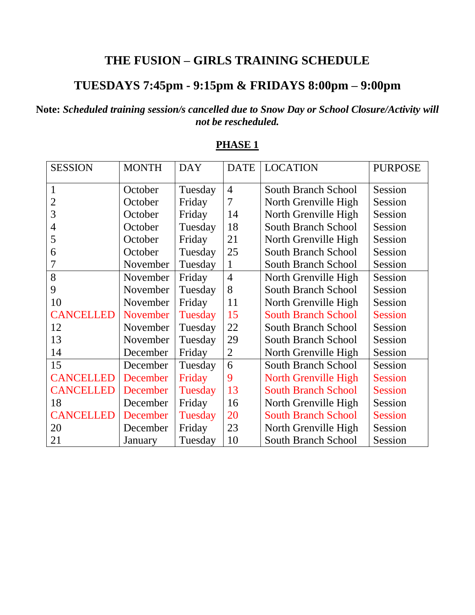## **THE FUSION – GIRLS TRAINING SCHEDULE**

# **TUESDAYS 7:45pm - 9:15pm & FRIDAYS 8:00pm – 9:00pm**

### **Note:** *Scheduled training session/s cancelled due to Snow Day or School Closure/Activity will not be rescheduled.*

| <b>SESSION</b>   | <b>MONTH</b> | <b>DAY</b> | <b>DATE</b>    | <b>LOCATION</b>            | <b>PURPOSE</b> |
|------------------|--------------|------------|----------------|----------------------------|----------------|
| $\mathbf{1}$     | October      | Tuesday    | $\overline{4}$ | South Branch School        | Session        |
| 2                | October      | Friday     | $\overline{7}$ | North Grenville High       | Session        |
| 3                | October      | Friday     | 14             | North Grenville High       | Session        |
| 4                | October      | Tuesday    | 18             | <b>South Branch School</b> | Session        |
| 5                | October      | Friday     | 21             | North Grenville High       | Session        |
| 6                | October      | Tuesday    | 25             | <b>South Branch School</b> | Session        |
| 7                | November     | Tuesday    | 1              | <b>South Branch School</b> | Session        |
| 8                | November     | Friday     | $\overline{4}$ | North Grenville High       | Session        |
| 9                | November     | Tuesday    | 8              | <b>South Branch School</b> | Session        |
| 10               | November     | Friday     | 11             | North Grenville High       | Session        |
| <b>CANCELLED</b> | November     | Tuesday    | 15             | <b>South Branch School</b> | <b>Session</b> |
| 12               | November     | Tuesday    | 22             | <b>South Branch School</b> | Session        |
| 13               | November     | Tuesday    | 29             | South Branch School        | Session        |
| 14               | December     | Friday     | $\overline{2}$ | North Grenville High       | Session        |
| 15               | December     | Tuesday    | 6              | <b>South Branch School</b> | Session        |
| <b>CANCELLED</b> | December     | Friday     | 9              | North Grenville High       | <b>Session</b> |
| <b>CANCELLED</b> | December     | Tuesday    | 13             | <b>South Branch School</b> | <b>Session</b> |
| 18               | December     | Friday     | 16             | North Grenville High       | Session        |
| <b>CANCELLED</b> | December     | Tuesday    | 20             | <b>South Branch School</b> | <b>Session</b> |
| 20               | December     | Friday     | 23             | North Grenville High       | Session        |
| 21               | January      | Tuesday    | 10             | <b>South Branch School</b> | Session        |

#### **PHASE 1**